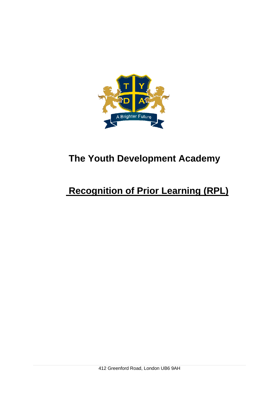

## **The Youth Development Academy**

# **Recognition of Prior Learning (RPL)**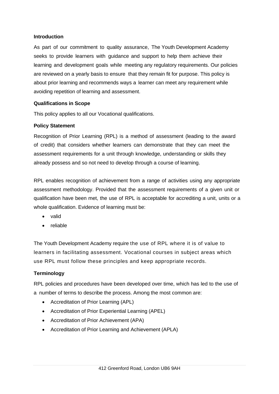#### **Introduction**

As part of our commitment to quality assurance, The Youth Development Academy seeks to provide learners with guidance and support to help them achieve their learning and development goals while meeting any regulatory requirements. Our policies are reviewed on a yearly basis to ensure that they remain fit for purpose. This policy is about prior learning and recommends ways a learner can meet any requirement while avoiding repetition of learning and assessment.

#### **Qualifications in Scope**

This policy applies to all our Vocational qualifications.

#### **Policy Statement**

Recognition of Prior Learning (RPL) is a method of assessment (leading to the award of credit) that considers whether learners can demonstrate that they can meet the assessment requirements for a unit through knowledge, understanding or skills they already possess and so not need to develop through a course of learning.

RPL enables recognition of achievement from a range of activities using any appropriate assessment methodology. Provided that the assessment requirements of a given unit or qualification have been met, the use of RPL is acceptable for accrediting a unit, units or a whole qualification. Evidence of learning must be:

- valid
- reliable

The Youth Development Academy require the use of RPL where it is of value to learners in facilitating assessment. Vocational courses in subject areas which use RPL must follow these principles and keep appropriate records.

#### **Terminology**

RPL policies and procedures have been developed over time, which has led to the use of a number of terms to describe the process. Among the most common are:

- Accreditation of Prior Learning (APL)
- Accreditation of Prior Experiential Learning (APEL)
- Accreditation of Prior Achievement (APA)
- Accreditation of Prior Learning and Achievement (APLA)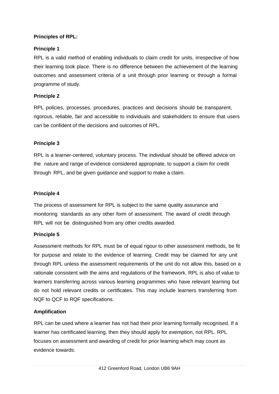## **Principles of RPL:**

## **Principle 1**

RPL is a valid method of enabling individuals to claim credit for units, irrespective of how their learning took place. There is no difference between the achievement of the learning outcomes and assessment criteria of a unit through prior learning or through a formal programme of study.

## **Principle 2**

RPL policies, processes, procedures, practices and decisions should be transparent, rigorous, reliable, fair and accessible to individuals and stakeholders to ensure that users can be confident of the decisions and outcomes of RPL.

### **Principle 3**

RPL is a learner-centered, voluntary process. The individual should be offered advice on the nature and range of evidence considered appropriate, to support a claim for credit through RPL, and be given guidance and support to make a claim.

### **Principle 4**

The process of assessment for RPL is subject to the same quality assurance and monitoring standards as any other form of assessment. The award of credit through RPL will not be distinguished from any other credits awarded.

### **Principle 5**

Assessment methods for RPL must be of equal rigour to other assessment methods, be fit for purpose and relate to the evidence of learning. Credit may be claimed for any unit through RPL unless the assessment requirements of the unit do not allow this, based on a rationale consistent with the aims and regulations of the framework. RPL is also of value to learners transferring across various learning programmes who have relevant learning but do not hold relevant credits or certificates. This may include learners transferring from NQF to QCF to RQF specifications.

### **Amplification**

RPL can be used where a learner has not had their prior learning formally recognised. If a learner has certificated learning, then they should apply for exemption, not RPL. RPL focuses on assessment and awarding of credit for prior learning which may count as evidence towards: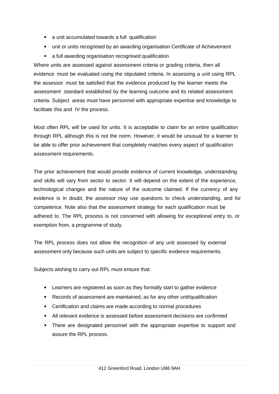- a unit accumulated towards a full qualification
- unit or units recognised by an awarding organisation Certificate of Achievement
- a full awarding organisation recognised qualification

Where units are assessed against assessment criteria or grading criteria, then all evidence must be evaluated using the stipulated criteria. In assessing a unit using RPL the assessor must be satisfied that the evidence produced by the learner meets the assessment standard established by the learning outcome and its related assessment criteria. Subject areas must have personnel with appropriate expertise and knowledge to facilitate this and IV the process.

Most often RPL will be used for units. It is acceptable to claim for an entire qualification through RPL although this is not the norm. However, it would be unusual for a learner to be able to offer prior achievement that completely matches every aspect of qualification assessment requirements.

The prior achievement that would provide evidence of current knowledge, understanding and skills will vary from sector to sector. It will depend on the extent of the experience, technological changes and the nature of the outcome claimed. If the currency of any evidence is in doubt, the assessor may use questions to check understanding, and for competence. Note also that the assessment strategy for each qualification must be adhered to. The RPL process is not concerned with allowing for exceptional entry to, or exemption from, a programme of study.

The RPL process does not allow the recognition of any unit assessed by external assessment only because such units are subject to specific evidence requirements.

Subjects wishing to carry out RPL must ensure that:

- Learners are registered as soon as they formally start to gather evidence
- Records of assessment are maintained, as for any other unit/qualification
- Certification and claims are made according to normal procedures
- All relevant evidence is assessed before assessment decisions are confirmed
- There are designated personnel with the appropriate expertise to support and assure the RPL process.